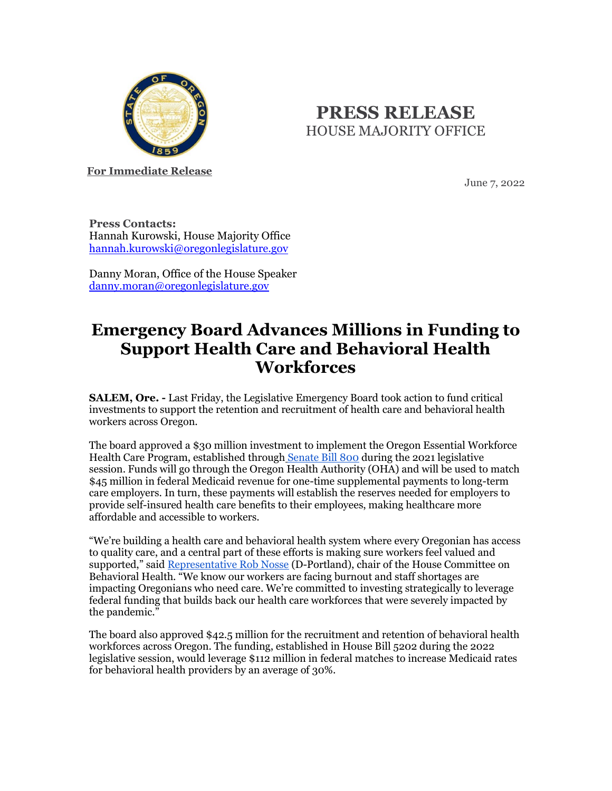

## **PRESS RELEASE** HOUSE MAJORITY OFFICE

**For Immediate Release**

June 7, 2022

**Press Contacts:** Hannah Kurowski, House Majority Office [hannah.kurowski@oregonlegislature.gov](mailto:hannah.kurowski@oregonlegislature.gov)

Danny Moran, Office of the House Speaker [danny.moran@oregonlegislature.gov](mailto:danny.moran@oregonlegislature.gov)

## **Emergency Board Advances Millions in Funding to Support Health Care and Behavioral Health Workforces**

**SALEM, Ore. -** Last Friday, the Legislative Emergency Board took action to fund critical investments to support the retention and recruitment of health care and behavioral health workers across Oregon.

The board approved a \$30 million investment to implement the Oregon Essential Workforce Health Care Program, established throug[h](https://olis.oregonlegislature.gov/liz/2021R1/Downloads/MeasureDocument/SB800) [Senate Bill 800](https://olis.oregonlegislature.gov/liz/2021R1/Downloads/MeasureDocument/SB800) during the 2021 legislative session. Funds will go through the Oregon Health Authority (OHA) and will be used to match \$45 million in federal Medicaid revenue for one-time supplemental payments to long-term care employers. In turn, these payments will establish the reserves needed for employers to provide self-insured health care benefits to their employees, making healthcare more affordable and accessible to workers.

"We're building a health care and behavioral health system where every Oregonian has access to quality care, and a central part of these efforts is making sure workers feel valued and supported," said [Representative Rob Nosse](https://www.oregonlegislature.gov/nosse) (D-Portland), chair of the House Committee on Behavioral Health. "We know our workers are facing burnout and staff shortages are impacting Oregonians who need care. We're committed to investing strategically to leverage federal funding that builds back our health care workforces that were severely impacted by the pandemic."

The board also approved \$42.5 million for the recruitment and retention of behavioral health workforces across Oregon. The funding, established in House Bill 5202 during the 2022 legislative session, would leverage \$112 million in federal matches to increase Medicaid rates for behavioral health providers by an average of 30%.